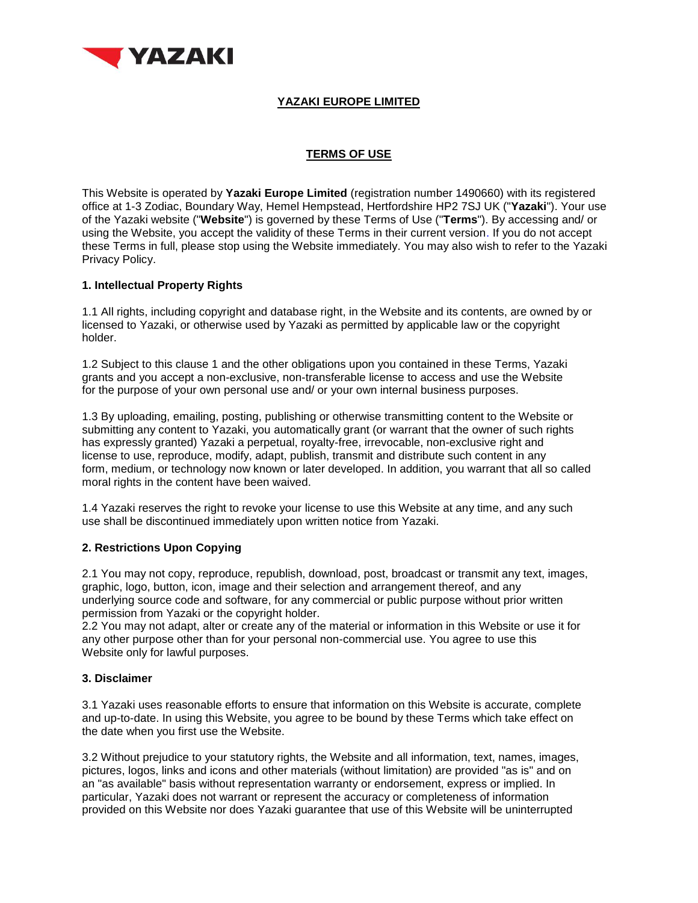

# **YAZAKI EUROPE LIMITED**

# **TERMS OF USE**

This Website is operated by **Yazaki Europe Limited** (registration number 1490660) with its registered office at 1-3 Zodiac, Boundary Way, Hemel Hempstead, Hertfordshire HP2 7SJ UK ("**Yazaki**"). Your use of the Yazaki website ("**Website**") is governed by these Terms of Use ("**Terms**"). By accessing and/ or using the Website, you accept the validity of these Terms in their current version. If you do not accept these Terms in full, please stop using the Website immediately. You may also wish to refer to the Yazaki Privacy Policy.

## **1. Intellectual Property Rights**

1.1 All rights, including copyright and database right, in the Website and its contents, are owned by or licensed to Yazaki, or otherwise used by Yazaki as permitted by applicable law or the copyright holder.

1.2 Subject to this clause 1 and the other obligations upon you contained in these Terms, Yazaki grants and you accept a non-exclusive, non-transferable license to access and use the Website for the purpose of your own personal use and/ or your own internal business purposes.

1.3 By uploading, emailing, posting, publishing or otherwise transmitting content to the Website or submitting any content to Yazaki, you automatically grant (or warrant that the owner of such rights has expressly granted) Yazaki a perpetual, royalty-free, irrevocable, non-exclusive right and license to use, reproduce, modify, adapt, publish, transmit and distribute such content in any form, medium, or technology now known or later developed. In addition, you warrant that all so called moral rights in the content have been waived.

1.4 Yazaki reserves the right to revoke your license to use this Website at any time, and any such use shall be discontinued immediately upon written notice from Yazaki.

## **2. Restrictions Upon Copying**

2.1 You may not copy, reproduce, republish, download, post, broadcast or transmit any text, images, graphic, logo, button, icon, image and their selection and arrangement thereof, and any underlying source code and software, for any commercial or public purpose without prior written permission from Yazaki or the copyright holder.

2.2 You may not adapt, alter or create any of the material or information in this Website or use it for any other purpose other than for your personal non-commercial use. You agree to use this Website only for lawful purposes.

# **3. Disclaimer**

3.1 Yazaki uses reasonable efforts to ensure that information on this Website is accurate, complete and up-to-date. In using this Website, you agree to be bound by these Terms which take effect on the date when you first use the Website.

3.2 Without prejudice to your statutory rights, the Website and all information, text, names, images, pictures, logos, links and icons and other materials (without limitation) are provided "as is" and on an "as available" basis without representation warranty or endorsement, express or implied. In particular, Yazaki does not warrant or represent the accuracy or completeness of information provided on this Website nor does Yazaki guarantee that use of this Website will be uninterrupted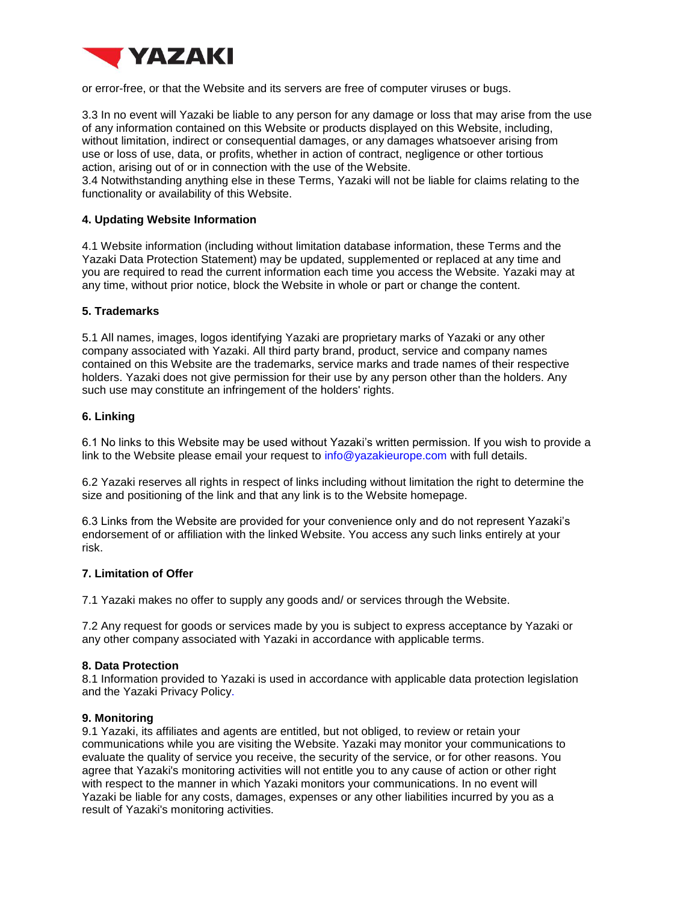

or error-free, or that the Website and its servers are free of computer viruses or bugs.

3.3 In no event will Yazaki be liable to any person for any damage or loss that may arise from the use of any information contained on this Website or products displayed on this Website, including, without limitation, indirect or consequential damages, or any damages whatsoever arising from use or loss of use, data, or profits, whether in action of contract, negligence or other tortious action, arising out of or in connection with the use of the Website.

3.4 Notwithstanding anything else in these Terms, Yazaki will not be liable for claims relating to the functionality or availability of this Website.

## **4. Updating Website Information**

4.1 Website information (including without limitation database information, these Terms and the Yazaki Data Protection Statement) may be updated, supplemented or replaced at any time and you are required to read the current information each time you access the Website. Yazaki may at any time, without prior notice, block the Website in whole or part or change the content.

### **5. Trademarks**

5.1 All names, images, logos identifying Yazaki are proprietary marks of Yazaki or any other company associated with Yazaki. All third party brand, product, service and company names contained on this Website are the trademarks, service marks and trade names of their respective holders. Yazaki does not give permission for their use by any person other than the holders. Any such use may constitute an infringement of the holders' rights.

### **6. Linking**

6.1 No links to this Website may be used without Yazaki's written permission. If you wish to provide a link to the Website please email your request to info@yazakieurope.com with full details.

6.2 Yazaki reserves all rights in respect of links including without limitation the right to determine the size and positioning of the link and that any link is to the Website homepage.

6.3 Links from the Website are provided for your convenience only and do not represent Yazaki's endorsement of or affiliation with the linked Website. You access any such links entirely at your risk.

## **7. Limitation of Offer**

7.1 Yazaki makes no offer to supply any goods and/ or services through the Website.

7.2 Any request for goods or services made by you is subject to express acceptance by Yazaki or any other company associated with Yazaki in accordance with applicable terms.

#### **8. Data Protection**

8.1 Information provided to Yazaki is used in accordance with applicable data protection legislation and the Yazaki Privacy Policy.

#### **9. Monitoring**

9.1 Yazaki, its affiliates and agents are entitled, but not obliged, to review or retain your communications while you are visiting the Website. Yazaki may monitor your communications to evaluate the quality of service you receive, the security of the service, or for other reasons. You agree that Yazaki's monitoring activities will not entitle you to any cause of action or other right with respect to the manner in which Yazaki monitors your communications. In no event will Yazaki be liable for any costs, damages, expenses or any other liabilities incurred by you as a result of Yazaki's monitoring activities.